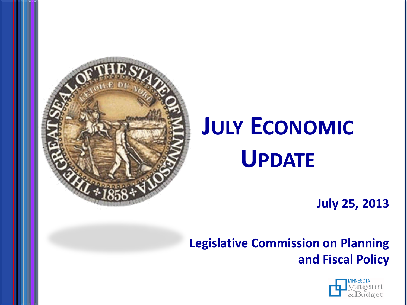

# **JULY ECONOMIC UPDATE**

**July 25, 2013**

**Legislative Commission on Planning and Fiscal Policy**

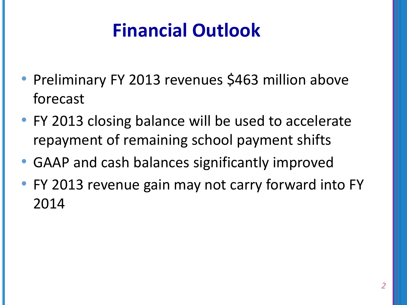#### **Financial Outlook**

- Preliminary FY 2013 revenues \$463 million above forecast
- FY 2013 closing balance will be used to accelerate repayment of remaining school payment shifts
- GAAP and cash balances significantly improved
- FY 2013 revenue gain may not carry forward into FY 2014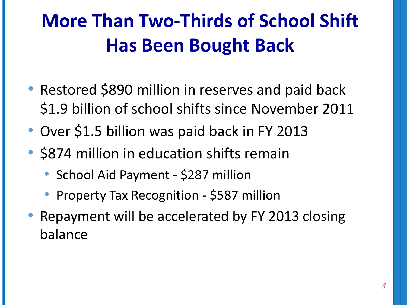# **More Than Two-Thirds of School Shift Has Been Bought Back**

- Restored \$890 million in reserves and paid back \$1.9 billion of school shifts since November 2011
- Over \$1.5 billion was paid back in FY 2013
- \$874 million in education shifts remain
	- School Aid Payment \$287 million
	- Property Tax Recognition \$587 million
- Repayment will be accelerated by FY 2013 closing balance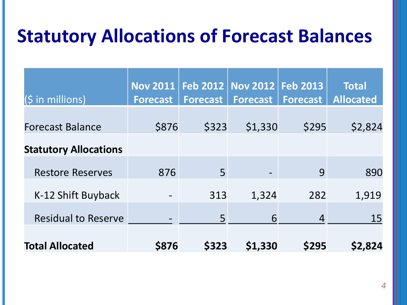#### **Statutory Allocations of Forecast Balances**

| $(S \in \mathbb{N})$ in millions) | <b>Nov 2011</b><br><b>Forecast</b> | <b>Forecast</b> | Feb 2012   Nov 2012  <br><b>Forecast</b> | <b>Feb 2013</b><br><b>Forecast</b> | <b>Total</b><br><b>Allocated</b> |
|-----------------------------------|------------------------------------|-----------------|------------------------------------------|------------------------------------|----------------------------------|
| <b>Forecast Balance</b>           | \$876                              | \$323           | \$1,330                                  | \$295                              | \$2,824                          |
| <b>Statutory Allocations</b>      |                                    |                 |                                          |                                    |                                  |
| <b>Restore Reserves</b>           | 876                                | 5               |                                          | 9                                  | 890                              |
| K-12 Shift Buyback                | $\overline{\phantom{a}}$           | 313             | 1,324                                    | 282                                | 1,919                            |
| <b>Residual to Reserve</b>        | $\hbox{--}$                        | 5               | 6                                        | $\overline{4}$                     | 15                               |
| <b>Total Allocated</b>            | <b>\$876</b>                       | \$323           | \$1,330                                  | \$295                              | \$2,824                          |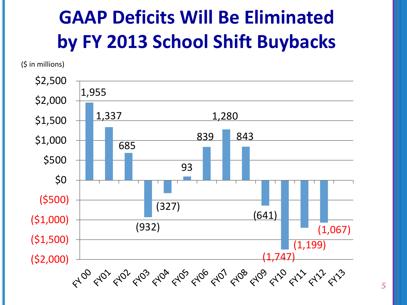## **GAAP Deficits Will Be Eliminated by FY 2013 School Shift Buybacks**

(\$ in millions)

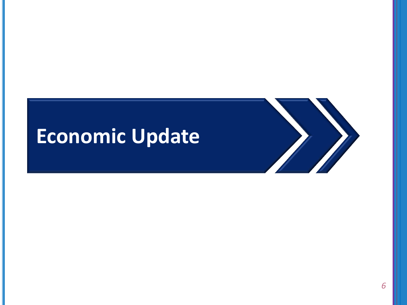## **Economic Update**

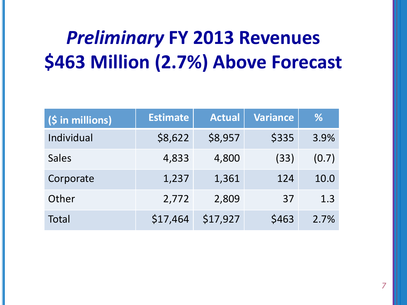#### *Preliminary* **FY 2013 Revenues \$463 Million (2.7%) Above Forecast**

| (\$ in millions) | <b>Estimate</b> | <b>Actual</b> | <b>Variance</b> | %     |
|------------------|-----------------|---------------|-----------------|-------|
| Individual       | \$8,622         | \$8,957       | \$335           | 3.9%  |
| <b>Sales</b>     | 4,833           | 4,800         | (33)            | (0.7) |
| Corporate        | 1,237           | 1,361         | 124             | 10.0  |
| Other            | 2,772           | 2,809         | 37              | 1.3   |
| Total            | \$17,464        | \$17,927      | \$463           | 2.7%  |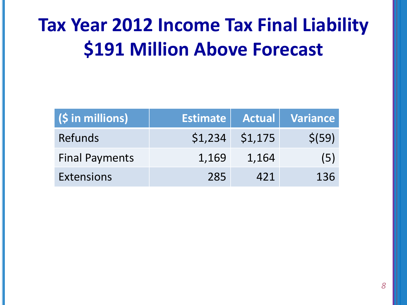#### **Tax Year 2012 Income Tax Final Liability \$191 Million Above Forecast**

| $(S \in \mathbb{N})$ in millions) |       |                   | Estimate Actual Variance |
|-----------------------------------|-------|-------------------|--------------------------|
| Refunds                           |       | $$1,234$ $$1,175$ | \$ (59)                  |
| <b>Final Payments</b>             | 1,169 | 1,164             | (5)                      |
| <b>Extensions</b>                 | 285   | 421               | 136                      |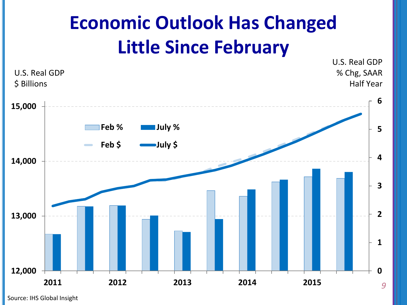#### **Economic Outlook Has Changed Little Since February**



Source: IHS Global Insight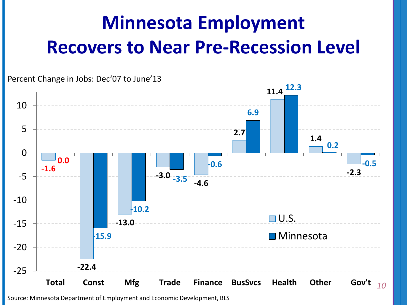## **Minnesota Employment Recovers to Near Pre-Recession Level**

*10* **-1.6 -22.4 -13.0 -3.0 -3.5 -4.6 2.7 11.4 12.3 1.4 -2.3 0.0 -15.9 -10.2 -0.6 6.9 0.2 -0.5** -25 -20 -15 -10 -5 0 5 10 **Total Const Mfg Trade Finance BusSvcs Health Other Gov't**  $\Box$  U.S. ■ Minnesota Percent Change in Jobs: Dec'07 to June'13

#### Source: Minnesota Department of Employment and Economic Development, BLS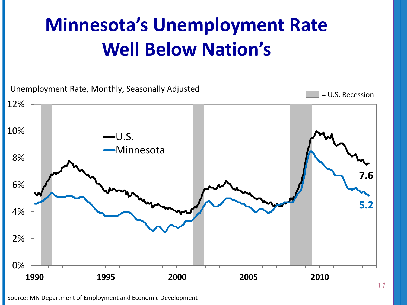#### **Minnesota's Unemployment Rate Well Below Nation's**